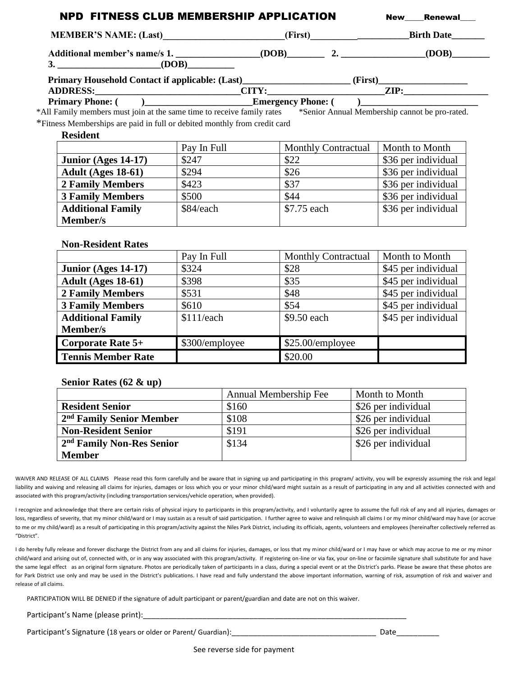| MEMBER'S NAME: (Last)______________________(First)__________________________Birth Date______________                  |                |                       |                  |                            |                     |
|-----------------------------------------------------------------------------------------------------------------------|----------------|-----------------------|------------------|----------------------------|---------------------|
|                                                                                                                       |                |                       |                  |                            |                     |
|                                                                                                                       |                |                       |                  |                            |                     |
|                                                                                                                       |                |                       |                  |                            |                     |
|                                                                                                                       |                |                       |                  |                            |                     |
|                                                                                                                       |                |                       |                  |                            |                     |
| *All Family members must join at the same time to receive family rates *Senior Annual Membership cannot be pro-rated. |                |                       |                  |                            |                     |
| *Fitness Memberships are paid in full or debited monthly from credit card                                             |                |                       |                  |                            |                     |
| <b>Resident</b>                                                                                                       | Pay In Full    |                       |                  | <b>Monthly Contractual</b> | Month to Month      |
| Junior (Ages 14-17)                                                                                                   | \$247          |                       | \$22             |                            | \$36 per individual |
| Adult (Ages 18-61)                                                                                                    | \$294          |                       | \$26             |                            | \$36 per individual |
| <b>2 Family Members</b>                                                                                               | \$423          |                       | \$37             |                            | \$36 per individual |
| <b>3 Family Members</b>                                                                                               | \$500          |                       | \$44             |                            | \$36 per individual |
| <b>Additional Family</b>                                                                                              | \$84/each      |                       | \$7.75 each      |                            | \$36 per individual |
| Member/s                                                                                                              |                |                       |                  |                            |                     |
| <b>Non-Resident Rates</b>                                                                                             | Pay In Full    |                       |                  | <b>Monthly Contractual</b> | Month to Month      |
| Junior (Ages 14-17)                                                                                                   | \$324          |                       | \$28             |                            | \$45 per individual |
| Adult (Ages 18-61)                                                                                                    | \$398          |                       | \$35             |                            | \$45 per individual |
| <b>2 Family Members</b>                                                                                               | \$531          |                       | \$48             |                            | \$45 per individual |
| <b>3 Family Members</b>                                                                                               | \$610          |                       | \$54             |                            | \$45 per individual |
| <b>Additional Family</b><br>Member/s                                                                                  | \$111/each     |                       | \$9.50 each      |                            | \$45 per individual |
| Corporate Rate 5+                                                                                                     | \$300/employee |                       | \$25.00/employee |                            |                     |
| <b>Tennis Member Rate</b>                                                                                             |                |                       | \$20.00          |                            |                     |
| Senior Rates $(62 \& up)$                                                                                             |                |                       |                  |                            |                     |
|                                                                                                                       |                | Annual Membership Fee |                  |                            | Month to Month      |
| <b>Resident Senior</b>                                                                                                |                | \$160                 |                  |                            | \$26 per individual |

|                                       | Annual Membership Fee | Month to Month      |
|---------------------------------------|-----------------------|---------------------|
| <b>Resident Senior</b>                | \$160                 | \$26 per individual |
| 2 <sup>nd</sup> Family Senior Member  | \$108                 | \$26 per individual |
| <b>Non-Resident Senior</b>            | \$191                 | \$26 per individual |
| 2 <sup>nd</sup> Family Non-Res Senior | \$134                 | \$26 per individual |
| <b>Member</b>                         |                       |                     |

WAIVER AND RELEASE OF ALL CLAIMS Please read this form carefully and be aware that in signing up and participating in this program/ activity, you will be expressly assuming the risk and legal liability and waiving and releasing all claims for injuries, damages or loss which you or your minor child/ward might sustain as a result of participating in any and all activities connected with and associated with this program/activity (including transportation services/vehicle operation, when provided).

I recognize and acknowledge that there are certain risks of physical injury to participants in this program/activity, and I voluntarily agree to assume the full risk of any and all injuries, damages or loss, regardless of severity, that my minor child/ward or I may sustain as a result of said participation. I further agree to waive and relinquish all claims I or my minor child/ward may have (or accrue to me or my child/ward) as a result of participating in this program/activity against the Niles Park District, including its officials, agents, volunteers and employees (hereinafter collectively referred as "District".

I do hereby fully release and forever discharge the District from any and all claims for injuries, damages, or loss that my minor child/ward or I may have or which may accrue to me or my minor child/ward and arising out of, connected with, or in any way associated with this program/activity. If registering on-line or via fax, your on-line or facsimile signature shall substitute for and have the same legal effect as an original form signature. Photos are periodically taken of participants in a class, during a special event or at the District's parks. Please be aware that these photos are for Park District use only and may be used in the District's publications. I have read and fully understand the above important information, warning of risk, assumption of risk and waiver and release of all claims.

PARTICIPATION WILL BE DENIED if the signature of adult participant or parent/guardian and date are not on this waiver.

Participant's Name (please print):\_\_\_\_\_\_\_\_\_\_\_\_\_\_\_\_\_\_\_\_\_\_\_\_\_\_\_\_\_\_\_\_\_\_\_\_\_\_\_\_\_\_\_\_\_\_\_\_\_\_\_\_\_\_\_\_\_\_\_\_\_\_

Participant's Signature (18 years or older or Parent/ Guardian):\_\_\_\_\_\_\_\_\_\_\_\_\_\_\_\_\_\_\_\_\_\_\_\_\_\_\_\_\_\_\_\_\_\_ Date\_\_\_\_\_\_\_\_\_\_